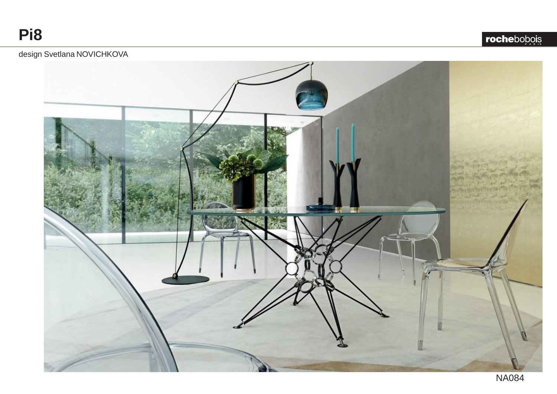**rochebopois** 

## design Svetlana NOVICHKOVA

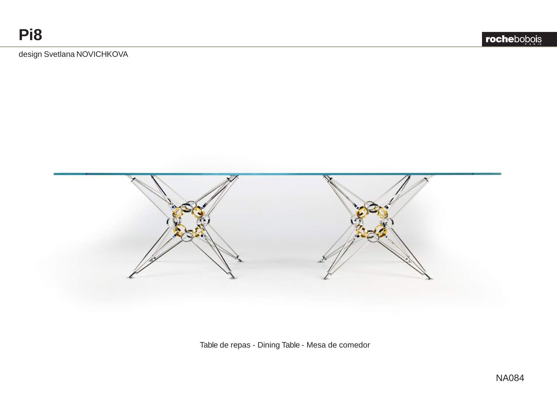**P A R I S P A R I S**

design Svetlana NOVICHKOVA



Table de repas - Dining Table - Mesa de comedor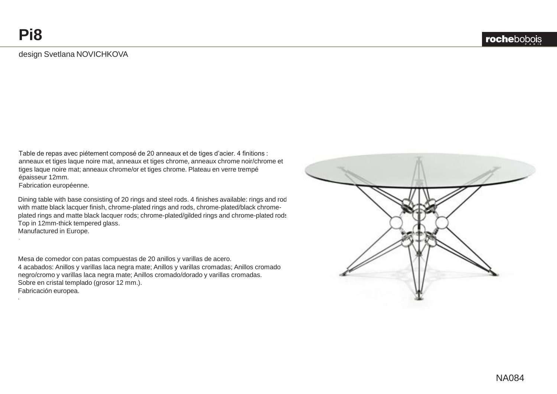## design Svetlana NOVICHKOVA

Table de repas avec piétement composé de 20 anneaux et de tiges d'acier. 4 finitions : anneaux et tiges laque noire mat, anneaux et tiges chrome, anneaux chrome noir/chrome et tiges laque noire mat; anneaux chrome/or et tiges chrome. Plateau en verre trempé épaisseur 12mm.

Fabrication européenne.

.

.

Dining table with base consisting of 20 rings and steel rods. 4 finishes available: rings and rod with matte black lacquer finish, chrome-plated rings and rods, chrome-plated/black chromeplated rings and matte black lacquer rods; chrome-plated/gilded rings and chrome-plated rods. Top in 12mm-thick tempered glass. Manufactured in Europe.

Mesa de comedor con patas compuestas de 20 anillos y varillas de acero. 4 acabados: Anillos y varillas laca negra mate; Anillos y varillas cromadas; Anillos cromado negro/cromo y varillas laca negra mate; Anillos cromado/dorado y varillas cromadas. Sobre en cristal templado (grosor 12 mm.). Fabricación europea.